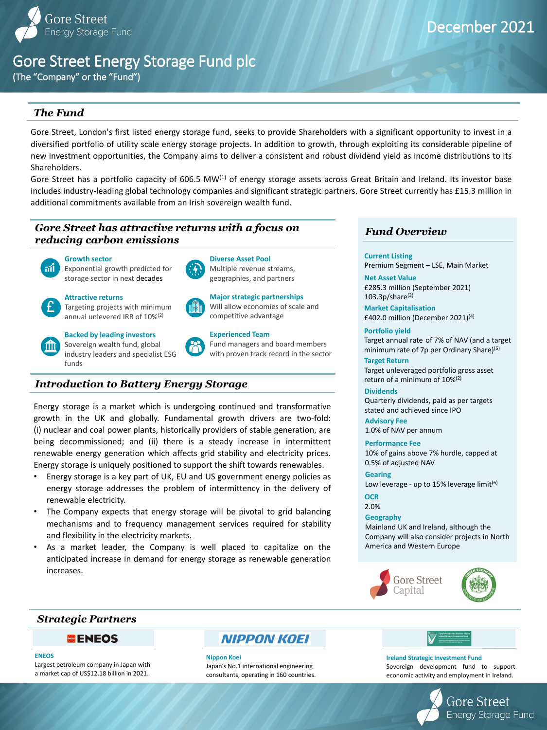#### **Nippon Koei**

Japan's No.1 international engineering consultants, operating in 160 countries.

| Ciste Infheistíochta Straitéisí d'Éirinn<br><b>Ireland Strategic Investment Fund</b>              |
|---------------------------------------------------------------------------------------------------|
| Gniomhaireacht Rainistiachta an Chisteáin Náisiúnta<br><b>National Treasury Management Agency</b> |

# Gore Street Energy Storage Fund plc

Gore Street, London's first listed energy storage fund, seeks to provide Shareholders with a significant opportunity to invest in a diversified portfolio of utility scale energy storage projects. In addition to growth, through exploiting its considerable pipeline of new investment opportunities, the Company aims to deliver a consistent and robust dividend yield as income distributions to its Shareholders.

Gore Street has a portfolio capacity of 606.5 MW<sup>(1)</sup> of energy storage assets across Great Britain and Ireland. Its investor base includes industry-leading global technology companies and significant strategic partners. Gore Street currently has £15.3 million in additional commitments available from an Irish sovereign wealth fund.

> Target annual rate of 7% of NAV (and a target minimum rate of 7p per Ordinary Share)<sup>(5)</sup>

### **Attractive returns**

**Net Asset Value** £285.3 million (September 2021)  $103.3p/s$ hare<sup>(3)</sup>





# **Backed by leading investors**

Sovereign wealth fund, global industry leaders and specialist ESG funds



# **Growth sector**

Exponential growth predicted for storage sector in next decades



## **Diverse Asset Pool** Multiple revenue streams,



R

geographies, and partners



#### Fund managers and board members with proven track record in the sector

**Major strategic partnerships**  Will allow economies of scale and competitive advantage



# December 2021

(The "Company" or the "Fund")

### **Current Listing**

Premium Segment – LSE, Main Market

#### **Geography**

As a market leader, the Company is well placed to capitalize on the anticipated increase in demand for energy storage as renewable generation increases.

Mainland UK and Ireland, although the Company will also consider projects in North America and Western Europe



### **Portfolio yield**

Target unleveraged portfolio gross asset return of a minimum of  $10\%^{(2)}$ 

**Market Capitalisation** £402.0 million (December 2021)(4)

#### **OCR**

2.0%

# **Advisory Fee**

1.0% of NAV per annum

#### **Performance Fee**

10% of gains above 7% hurdle, capped at 0.5% of adjusted NAV

# *Fund Overview*

# *The Fund*

# *Introduction to Battery Energy Storage*

Energy storage is a market which is undergoing continued and transformative growth in the UK and globally. Fundamental growth drivers are two-fold: (i) nuclear and coal power plants, historically providers of stable generation, are being decommissioned; and (ii) there is a steady increase in intermittent renewable energy generation which affects grid stability and electricity prices. Energy storage is uniquely positioned to support the shift towards renewables.

- Energy storage is a key part of UK, EU and US government energy policies as energy storage addresses the problem of intermittency in the delivery of renewable electricity.
- The Company expects that energy storage will be pivotal to grid balancing mechanisms and to frequency management services required for stability and flexibility in the electricity markets.

# *Strategic Partners*



#### **ENEOS**

Largest petroleum company in Japan with a market cap of US\$12.18 billion in 2021.

# **NIPPON KOEI**

#### **Ireland Strategic Investment Fund**

Sovereign development fund to support economic activity and employment in Ireland.



#### **Gearing**

Low leverage - up to 15% leverage limit $(6)$ 

### **Target Return**

### **Dividends**

Quarterly dividends, paid as per targets stated and achieved since IPO

# *Gore Street has attractive returns with a focus on reducing carbon emissions*

# $\mathbf{m}$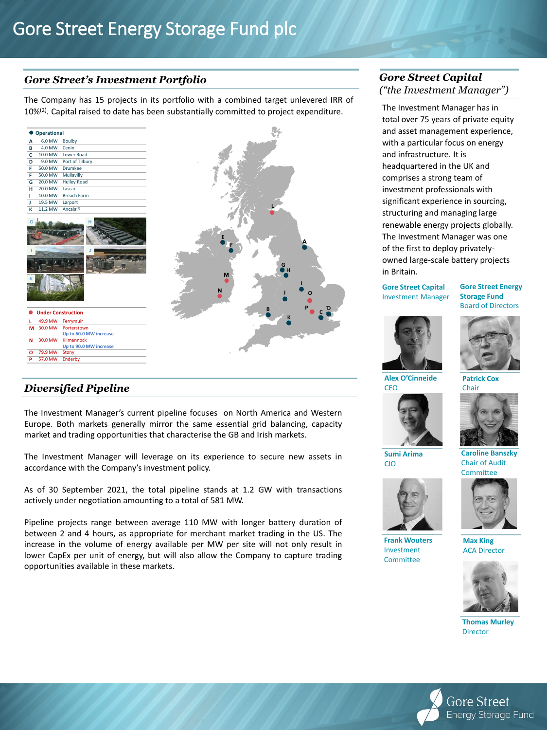# Gore Street Energy Storage Fund plc

# *Gore Street's Investment Portfolio*

# *Diversified Pipeline*

# *Gore Street Capital ("the Investment Manager")*

**Alex O'Cinneide CEO** 

**Frank Wouters** Investment **Committee** 

**Caroline Banszky** Chair of Audit **Committee** 





**Thomas Murley Director** 



The Company has 15 projects in its portfolio with a combined target unlevered IRR of 10%<sup>(2)</sup>. Capital raised to date has been substantially committed to project expenditure.

| A<br>B<br>C<br>D<br>E<br>F<br>G<br>H<br>$\mathbf{I}$<br>J<br>$\mathbf k$ | Operational<br>6.0 MW<br>4.0 MW<br>10.0 MW<br>9.0 MW<br>50.0 MW<br>50.0 MW<br>20.0 MW<br>20.0 MW<br>10.0 MW<br>19.5 MW<br>11.2 MW | <b>Boulby</b><br>Cenin<br>Lower Road<br>Port of Tilbury<br>Drumkee<br>Mullavilly<br><b>Hulley Road</b><br>Lascar<br><b>Breach Farm</b><br>Larport<br>Ancala <sup>(7)</sup> |  |  |        |   |              |  |
|--------------------------------------------------------------------------|-----------------------------------------------------------------------------------------------------------------------------------|----------------------------------------------------------------------------------------------------------------------------------------------------------------------------|--|--|--------|---|--------------|--|
|                                                                          |                                                                                                                                   |                                                                                                                                                                            |  |  |        |   |              |  |
|                                                                          |                                                                                                                                   |                                                                                                                                                                            |  |  |        |   |              |  |
|                                                                          |                                                                                                                                   |                                                                                                                                                                            |  |  |        |   |              |  |
|                                                                          |                                                                                                                                   |                                                                                                                                                                            |  |  |        |   |              |  |
|                                                                          |                                                                                                                                   |                                                                                                                                                                            |  |  |        |   |              |  |
|                                                                          |                                                                                                                                   |                                                                                                                                                                            |  |  |        |   |              |  |
|                                                                          |                                                                                                                                   |                                                                                                                                                                            |  |  |        |   |              |  |
|                                                                          |                                                                                                                                   |                                                                                                                                                                            |  |  |        |   |              |  |
|                                                                          |                                                                                                                                   |                                                                                                                                                                            |  |  |        |   |              |  |
|                                                                          |                                                                                                                                   |                                                                                                                                                                            |  |  |        |   |              |  |
|                                                                          |                                                                                                                                   |                                                                                                                                                                            |  |  |        |   |              |  |
|                                                                          |                                                                                                                                   |                                                                                                                                                                            |  |  | M<br>N | B | $\mathbf{G}$ |  |
|                                                                          |                                                                                                                                   | <b>Under Construction</b>                                                                                                                                                  |  |  |        |   |              |  |
| L                                                                        | 49.9 MW                                                                                                                           | Ferrymuir                                                                                                                                                                  |  |  |        |   |              |  |
| M                                                                        | 30.0 MW                                                                                                                           | Porterstown                                                                                                                                                                |  |  |        |   |              |  |
| ${\bf N}$                                                                | 30.0 MW                                                                                                                           | Up to 60.0 MW increase<br>Kilmannock                                                                                                                                       |  |  |        |   |              |  |
|                                                                          |                                                                                                                                   | Up to 90.0 MW increase                                                                                                                                                     |  |  |        |   |              |  |
| $\mathbf{o}$                                                             | 79.9 MW                                                                                                                           | Stony                                                                                                                                                                      |  |  |        |   |              |  |
| P                                                                        | 57.0 MW                                                                                                                           | Enderby                                                                                                                                                                    |  |  |        |   |              |  |

The Investment Manager has in total over 75 years of private equity and asset management experience, with a particular focus on energy and infrastructure. It is headquartered in the UK and comprises a strong team of investment professionals with significant experience in sourcing, structuring and managing large renewable energy projects globally. The Investment Manager was one of the first to deploy privatelyowned large-scale battery projects in Britain.

**Gore Street Capital** Investment Manager

**Sumi Arima** CIO

**Chair** 



**Gore Street Energy Storage Fund** Board of Directors







**Max King** ACA Director



The Investment Manager's current pipeline focuses on North America and Western Europe. Both markets generally mirror the same essential grid balancing, capacity market and trading opportunities that characterise the GB and Irish markets.

The Investment Manager will leverage on its experience to secure new assets in accordance with the Company's investment policy.

As of 30 September 2021, the total pipeline stands at 1.2 GW with transactions actively under negotiation amounting to a total of 581 MW.

Pipeline projects range between average 110 MW with longer battery duration of between 2 and 4 hours, as appropriate for merchant market trading in the US. The increase in the volume of energy available per MW per site will not only result in lower CapEx per unit of energy, but will also allow the Company to capture trading opportunities available in these markets.